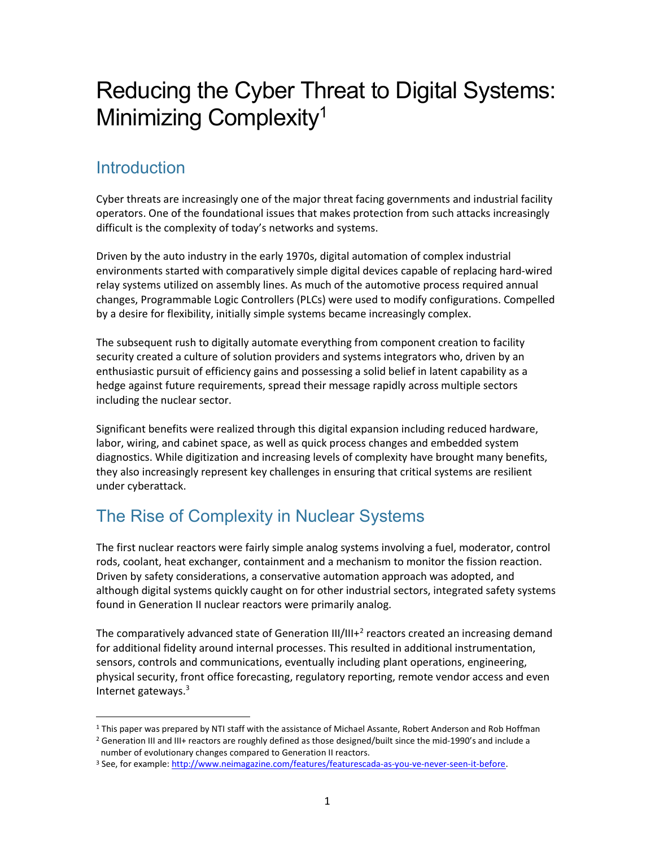# Reducing the Cyber Threat to Digital Systems: Minimizing Complexity<sup>1</sup>

# Introduction

Cyber threats are increasingly one of the major threat facing governments and industrial facility operators. One of the foundational issues that makes protection from such attacks increasingly difficult is the complexity of today's networks and systems.

Driven by the auto industry in the early 1970s, digital automation of complex industrial environments started with comparatively simple digital devices capable of replacing hard-wired relay systems utilized on assembly lines. As much of the automotive process required annual changes, Programmable Logic Controllers (PLCs) were used to modify configurations. Compelled by a desire for flexibility, initially simple systems became increasingly complex.

The subsequent rush to digitally automate everything from component creation to facility security created a culture of solution providers and systems integrators who, driven by an enthusiastic pursuit of efficiency gains and possessing a solid belief in latent capability as a hedge against future requirements, spread their message rapidly across multiple sectors including the nuclear sector.

Significant benefits were realized through this digital expansion including reduced hardware, labor, wiring, and cabinet space, as well as quick process changes and embedded system diagnostics. While digitization and increasing levels of complexity have brought many benefits, they also increasingly represent key challenges in ensuring that critical systems are resilient under cyberattack.

# The Rise of Complexity in Nuclear Systems

The first nuclear reactors were fairly simple analog systems involving a fuel, moderator, control rods, coolant, heat exchanger, containment and a mechanism to monitor the fission reaction. Driven by safety considerations, a conservative automation approach was adopted, and although digital systems quickly caught on for other industrial sectors, integrated safety systems found in Generation II nuclear reactors were primarily analog.

The comparatively advanced state of Generation  $III/III + <sup>2</sup>$  reactors created an increasing demand for additional fidelity around internal processes. This resulted in additional instrumentation, sensors, controls and communications, eventually including plant operations, engineering, physical security, front office forecasting, regulatory reporting, remote vendor access and even Internet gateways. $3$ 

 $\overline{a}$ <sup>1</sup> This paper was prepared by NTI staff with the assistance of Michael Assante, Robert Anderson and Rob Hoffman <sup>2</sup> Generation III and III+ reactors are roughly defined as those designed/built since the mid-1990's and include a number of evolutionary changes compared to Generation II reactors.

<sup>&</sup>lt;sup>3</sup> See, for example: http://www.neimagazine.com/features/featurescada-as-you-ve-never-seen-it-before.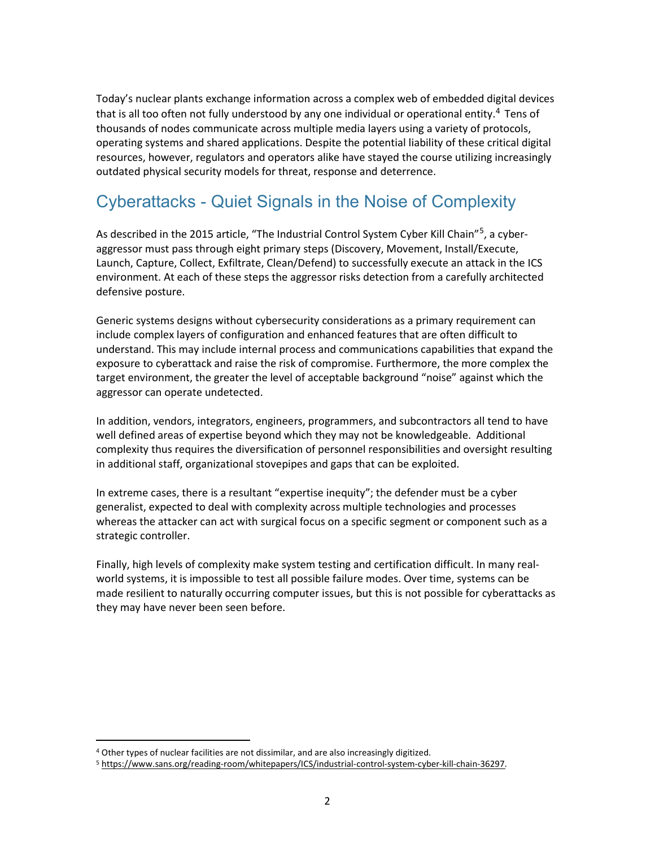Today's nuclear plants exchange information across a complex web of embedded digital devices that is all too often not fully understood by any one individual or operational entity.<sup>4</sup> Tens of thousands of nodes communicate across multiple media layers using a variety of protocols, operating systems and shared applications. Despite the potential liability of these critical digital resources, however, regulators and operators alike have stayed the course utilizing increasingly outdated physical security models for threat, response and deterrence.

#### Cyberattacks - Quiet Signals in the Noise of Complexity

As described in the 2015 article, "The Industrial Control System Cyber Kill Chain"<sup>5</sup>, a cyberaggressor must pass through eight primary steps (Discovery, Movement, Install/Execute, Launch, Capture, Collect, Exfiltrate, Clean/Defend) to successfully execute an attack in the ICS environment. At each of these steps the aggressor risks detection from a carefully architected defensive posture.

Generic systems designs without cybersecurity considerations as a primary requirement can include complex layers of configuration and enhanced features that are often difficult to understand. This may include internal process and communications capabilities that expand the exposure to cyberattack and raise the risk of compromise. Furthermore, the more complex the target environment, the greater the level of acceptable background "noise" against which the aggressor can operate undetected.

In addition, vendors, integrators, engineers, programmers, and subcontractors all tend to have well defined areas of expertise beyond which they may not be knowledgeable. Additional complexity thus requires the diversification of personnel responsibilities and oversight resulting in additional staff, organizational stovepipes and gaps that can be exploited.

In extreme cases, there is a resultant "expertise inequity"; the defender must be a cyber generalist, expected to deal with complexity across multiple technologies and processes whereas the attacker can act with surgical focus on a specific segment or component such as a strategic controller.

Finally, high levels of complexity make system testing and certification difficult. In many realworld systems, it is impossible to test all possible failure modes. Over time, systems can be made resilient to naturally occurring computer issues, but this is not possible for cyberattacks as they may have never been seen before.

 $\overline{a}$ 

<sup>&</sup>lt;sup>4</sup> Other types of nuclear facilities are not dissimilar, and are also increasingly digitized.

<sup>5</sup> https://www.sans.org/reading-room/whitepapers/ICS/industrial-control-system-cyber-kill-chain-36297.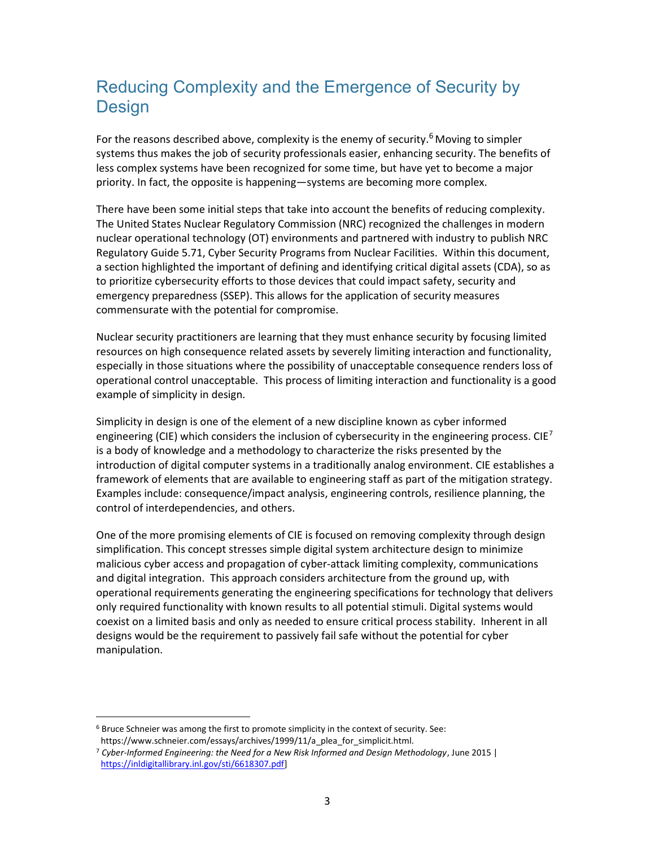## Reducing Complexity and the Emergence of Security by **Design**

For the reasons described above, complexity is the enemy of security.<sup>6</sup> Moving to simpler systems thus makes the job of security professionals easier, enhancing security. The benefits of less complex systems have been recognized for some time, but have yet to become a major priority. In fact, the opposite is happening—systems are becoming more complex.

There have been some initial steps that take into account the benefits of reducing complexity. The United States Nuclear Regulatory Commission (NRC) recognized the challenges in modern nuclear operational technology (OT) environments and partnered with industry to publish NRC Regulatory Guide 5.71, Cyber Security Programs from Nuclear Facilities. Within this document, a section highlighted the important of defining and identifying critical digital assets (CDA), so as to prioritize cybersecurity efforts to those devices that could impact safety, security and emergency preparedness (SSEP). This allows for the application of security measures commensurate with the potential for compromise.

Nuclear security practitioners are learning that they must enhance security by focusing limited resources on high consequence related assets by severely limiting interaction and functionality, especially in those situations where the possibility of unacceptable consequence renders loss of operational control unacceptable. This process of limiting interaction and functionality is a good example of simplicity in design.

Simplicity in design is one of the element of a new discipline known as cyber informed engineering (CIE) which considers the inclusion of cybersecurity in the engineering process. CIE<sup>7</sup> is a body of knowledge and a methodology to characterize the risks presented by the introduction of digital computer systems in a traditionally analog environment. CIE establishes a framework of elements that are available to engineering staff as part of the mitigation strategy. Examples include: consequence/impact analysis, engineering controls, resilience planning, the control of interdependencies, and others.

One of the more promising elements of CIE is focused on removing complexity through design simplification. This concept stresses simple digital system architecture design to minimize malicious cyber access and propagation of cyber-attack limiting complexity, communications and digital integration. This approach considers architecture from the ground up, with operational requirements generating the engineering specifications for technology that delivers only required functionality with known results to all potential stimuli. Digital systems would coexist on a limited basis and only as needed to ensure critical process stability. Inherent in all designs would be the requirement to passively fail safe without the potential for cyber manipulation.

 $\overline{a}$ 

<sup>&</sup>lt;sup>6</sup> Bruce Schneier was among the first to promote simplicity in the context of security. See: https://www.schneier.com/essays/archives/1999/11/a\_plea\_for\_simplicit.html.

 $7$  Cyber-Informed Engineering: the Need for a New Risk Informed and Design Methodology, June 2015 | https://inldigitallibrary.inl.gov/sti/6618307.pdf]